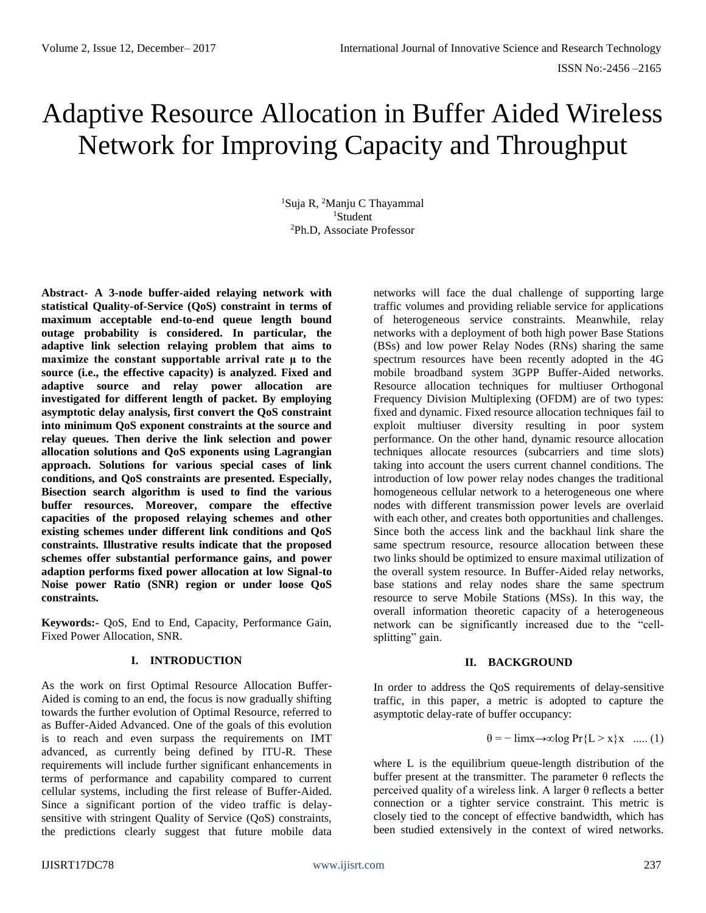# Adaptive Resource Allocation in Buffer Aided Wireless Network for Improving Capacity and Throughput

<sup>1</sup>Suja R, <sup>2</sup>Manju C Thayammal <sup>1</sup>Student <sup>2</sup>Ph.D, Associate Professor

**Abstract- A 3-node buffer-aided relaying network with statistical Quality-of-Service (QoS) constraint in terms of maximum acceptable end-to-end queue length bound outage probability is considered. In particular, the adaptive link selection relaying problem that aims to maximize the constant supportable arrival rate μ to the source (i.e., the effective capacity) is analyzed. Fixed and adaptive source and relay power allocation are investigated for different length of packet. By employing asymptotic delay analysis, first convert the QoS constraint into minimum QoS exponent constraints at the source and relay queues. Then derive the link selection and power allocation solutions and QoS exponents using Lagrangian approach. Solutions for various special cases of link conditions, and QoS constraints are presented. Especially, Bisection search algorithm is used to find the various buffer resources. Moreover, compare the effective capacities of the proposed relaying schemes and other existing schemes under different link conditions and QoS constraints. Illustrative results indicate that the proposed schemes offer substantial performance gains, and power adaption performs fixed power allocation at low Signal-to Noise power Ratio (SNR) region or under loose QoS constraints.** 

**Keywords:-** QoS, End to End, Capacity, Performance Gain, Fixed Power Allocation, SNR.

# **I. INTRODUCTION**

As the work on first Optimal Resource Allocation Buffer-Aided is coming to an end, the focus is now gradually shifting towards the further evolution of Optimal Resource, referred to as Buffer-Aided Advanced. One of the goals of this evolution is to reach and even surpass the requirements on IMT advanced, as currently being defined by ITU-R. These requirements will include further significant enhancements in terms of performance and capability compared to current cellular systems, including the first release of Buffer-Aided. Since a significant portion of the video traffic is delaysensitive with stringent Quality of Service (QoS) constraints, the predictions clearly suggest that future mobile data networks will face the dual challenge of supporting large traffic volumes and providing reliable service for applications of heterogeneous service constraints. Meanwhile, relay networks with a deployment of both high power Base Stations (BSs) and low power Relay Nodes (RNs) sharing the same spectrum resources have been recently adopted in the 4G mobile broadband system 3GPP Buffer-Aided networks. Resource allocation techniques for multiuser Orthogonal Frequency Division Multiplexing (OFDM) are of two types: fixed and dynamic. Fixed resource allocation techniques fail to exploit multiuser diversity resulting in poor system performance. On the other hand, dynamic resource allocation techniques allocate resources (subcarriers and time slots) taking into account the users current channel conditions. The introduction of low power relay nodes changes the traditional homogeneous cellular network to a heterogeneous one where nodes with different transmission power levels are overlaid with each other, and creates both opportunities and challenges. Since both the access link and the backhaul link share the same spectrum resource, resource allocation between these two links should be optimized to ensure maximal utilization of the overall system resource. In Buffer-Aided relay networks, base stations and relay nodes share the same spectrum resource to serve Mobile Stations (MSs). In this way, the overall information theoretic capacity of a heterogeneous network can be significantly increased due to the "cellsplitting" gain.

# **II. BACKGROUND**

In order to address the QoS requirements of delay-sensitive traffic, in this paper, a metric is adopted to capture the asymptotic delay-rate of buffer occupancy:

$$
\theta = -\lim_{x \to \infty} \log \Pr\{L > x\}x \quad \dots (1)
$$

where L is the equilibrium queue-length distribution of the buffer present at the transmitter. The parameter  $\theta$  reflects the perceived quality of a wireless link. A larger θ reflects a better connection or a tighter service constraint. This metric is closely tied to the concept of effective bandwidth, which has been studied extensively in the context of wired networks.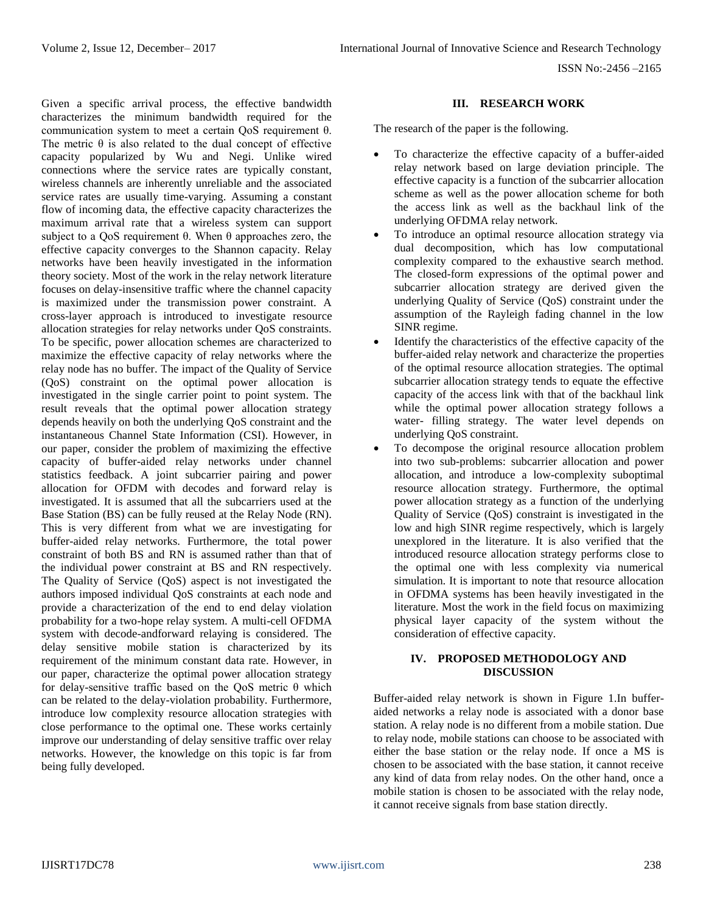Given a specific arrival process, the effective bandwidth characterizes the minimum bandwidth required for the communication system to meet a certain QoS requirement θ. The metric  $\theta$  is also related to the dual concept of effective capacity popularized by Wu and Negi. Unlike wired connections where the service rates are typically constant, wireless channels are inherently unreliable and the associated service rates are usually time-varying. Assuming a constant flow of incoming data, the effective capacity characterizes the maximum arrival rate that a wireless system can support subject to a QoS requirement θ. When θ approaches zero, the effective capacity converges to the Shannon capacity. Relay networks have been heavily investigated in the information theory society. Most of the work in the relay network literature focuses on delay-insensitive traffic where the channel capacity is maximized under the transmission power constraint. A cross-layer approach is introduced to investigate resource allocation strategies for relay networks under QoS constraints. To be specific, power allocation schemes are characterized to maximize the effective capacity of relay networks where the relay node has no buffer. The impact of the Quality of Service (QoS) constraint on the optimal power allocation is investigated in the single carrier point to point system. The result reveals that the optimal power allocation strategy depends heavily on both the underlying QoS constraint and the instantaneous Channel State Information (CSI). However, in our paper, consider the problem of maximizing the effective capacity of buffer-aided relay networks under channel statistics feedback. A joint subcarrier pairing and power allocation for OFDM with decodes and forward relay is investigated. It is assumed that all the subcarriers used at the Base Station (BS) can be fully reused at the Relay Node (RN). This is very different from what we are investigating for buffer-aided relay networks. Furthermore, the total power constraint of both BS and RN is assumed rather than that of the individual power constraint at BS and RN respectively. The Quality of Service (QoS) aspect is not investigated the authors imposed individual QoS constraints at each node and provide a characterization of the end to end delay violation probability for a two-hope relay system. A multi-cell OFDMA system with decode-andforward relaying is considered. The delay sensitive mobile station is characterized by its requirement of the minimum constant data rate. However, in our paper, characterize the optimal power allocation strategy for delay-sensitive traffic based on the QoS metric θ which can be related to the delay-violation probability. Furthermore, introduce low complexity resource allocation strategies with close performance to the optimal one. These works certainly improve our understanding of delay sensitive traffic over relay networks. However, the knowledge on this topic is far from being fully developed.

## **III. RESEARCH WORK**

The research of the paper is the following.

- To characterize the effective capacity of a buffer-aided relay network based on large deviation principle. The effective capacity is a function of the subcarrier allocation scheme as well as the power allocation scheme for both the access link as well as the backhaul link of the underlying OFDMA relay network.
- To introduce an optimal resource allocation strategy via dual decomposition, which has low computational complexity compared to the exhaustive search method. The closed-form expressions of the optimal power and subcarrier allocation strategy are derived given the underlying Quality of Service (QoS) constraint under the assumption of the Rayleigh fading channel in the low SINR regime.
- Identify the characteristics of the effective capacity of the buffer-aided relay network and characterize the properties of the optimal resource allocation strategies. The optimal subcarrier allocation strategy tends to equate the effective capacity of the access link with that of the backhaul link while the optimal power allocation strategy follows a water- filling strategy. The water level depends on underlying QoS constraint.
- To decompose the original resource allocation problem into two sub-problems: subcarrier allocation and power allocation, and introduce a low-complexity suboptimal resource allocation strategy. Furthermore, the optimal power allocation strategy as a function of the underlying Quality of Service (QoS) constraint is investigated in the low and high SINR regime respectively, which is largely unexplored in the literature. It is also verified that the introduced resource allocation strategy performs close to the optimal one with less complexity via numerical simulation. It is important to note that resource allocation in OFDMA systems has been heavily investigated in the literature. Most the work in the field focus on maximizing physical layer capacity of the system without the consideration of effective capacity.

# **IV. PROPOSED METHODOLOGY AND DISCUSSION**

Buffer-aided relay network is shown in Figure 1.In bufferaided networks a relay node is associated with a donor base station. A relay node is no different from a mobile station. Due to relay node, mobile stations can choose to be associated with either the base station or the relay node. If once a MS is chosen to be associated with the base station, it cannot receive any kind of data from relay nodes. On the other hand, once a mobile station is chosen to be associated with the relay node, it cannot receive signals from base station directly.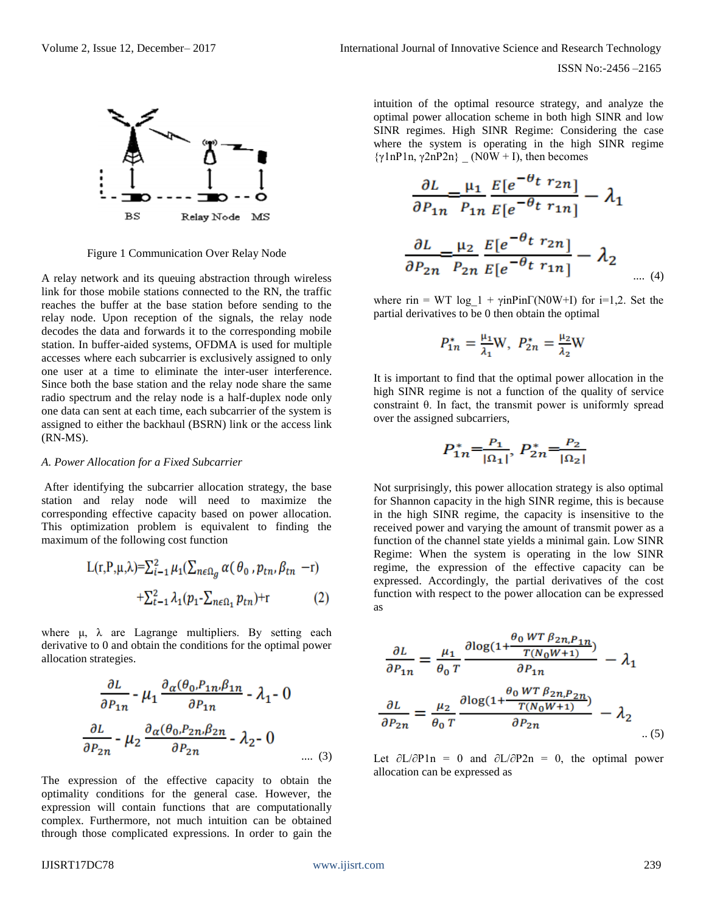

Figure 1 Communication Over Relay Node

A relay network and its queuing abstraction through wireless link for those mobile stations connected to the RN, the traffic reaches the buffer at the base station before sending to the relay node. Upon reception of the signals, the relay node decodes the data and forwards it to the corresponding mobile station. In buffer-aided systems, OFDMA is used for multiple accesses where each subcarrier is exclusively assigned to only one user at a time to eliminate the inter-user interference. Since both the base station and the relay node share the same radio spectrum and the relay node is a half-duplex node only one data can sent at each time, each subcarrier of the system is assigned to either the backhaul (BSRN) link or the access link (RN-MS).

#### *A. Power Allocation for a Fixed Subcarrier*

After identifying the subcarrier allocation strategy, the base station and relay node will need to maximize the corresponding effective capacity based on power allocation. This optimization problem is equivalent to finding the maximum of the following cost function

$$
L(r, P, \mu, \lambda) = \sum_{i=1}^{2} \mu_1(\sum_{n \in \Omega_g} \alpha(\theta_0, p_{tn}, \beta_{tn} - r)) + \sum_{i=1}^{2} \lambda_1(p_1 - \sum_{n \in \Omega_1} p_{tn}) + r
$$
 (2)

where  $\mu$ ,  $\lambda$  are Lagrange multipliers. By setting each derivative to 0 and obtain the conditions for the optimal power allocation strategies.

$$
\frac{\partial L}{\partial P_{1n}} - \mu_1 \frac{\partial_{\alpha}(\theta_0, P_{1n}, \beta_{1n})}{\partial P_{1n}} - \lambda_1 - 0
$$
  

$$
\frac{\partial L}{\partial P_{2n}} - \mu_2 \frac{\partial_{\alpha}(\theta_0, P_{2n}, \beta_{2n})}{\partial P_{2n}} - \lambda_2 - 0
$$
.... (3)

The expression of the effective capacity to obtain the optimality conditions for the general case. However, the expression will contain functions that are computationally complex. Furthermore, not much intuition can be obtained through those complicated expressions. In order to gain the intuition of the optimal resource strategy, and analyze the optimal power allocation scheme in both high SINR and low SINR regimes. High SINR Regime: Considering the case where the system is operating in the high SINR regime  $\{\gamma \ln P1n, \gamma 2nP2n\}$  (N0W + I), then becomes

$$
\frac{\partial L}{\partial P_{1n}} = \frac{\mu_1}{P_{1n}} \frac{E[e^{-\theta t} r_{2n}]}{E[e^{-\theta t} r_{1n}]} - \lambda_1
$$

$$
\frac{\partial L}{\partial P_{2n}} = \frac{\mu_2}{P_{2n}} \frac{E[e^{-\theta t} r_{2n}]}{E[e^{-\theta t} r_{1n}]} - \lambda_2
$$

where rin = WT log  $1 + \gamma \text{inPin}(\text{N0W+I})$  for i=1,2. Set the partial derivatives to be 0 then obtain the optimal

$$
P_{1n}^* = \frac{\mu_1}{\lambda_1} W, \ P_{2n}^* = \frac{\mu_2}{\lambda_2} W
$$

It is important to find that the optimal power allocation in the high SINR regime is not a function of the quality of service constraint θ. In fact, the transmit power is uniformly spread over the assigned subcarriers,

$$
P_{1n}^* = \frac{P_1}{|\Omega_1|}, \ P_{2n}^* = \frac{P_2}{|\Omega_2|}
$$

Not surprisingly, this power allocation strategy is also optimal for Shannon capacity in the high SINR regime, this is because in the high SINR regime, the capacity is insensitive to the received power and varying the amount of transmit power as a function of the channel state yields a minimal gain. Low SINR Regime: When the system is operating in the low SINR regime, the expression of the effective capacity can be expressed. Accordingly, the partial derivatives of the cost function with respect to the power allocation can be expressed as

$$
\frac{\partial L}{\partial P_{1n}} = \frac{\mu_1}{\theta_0 T} \frac{\partial \log(1 + \frac{\theta_0 W T \beta_{2n, P_{1n}}}{T(N_0 W + 1)})}{\partial P_{1n}} - \lambda_1
$$

$$
\frac{\partial L}{\partial P_{2n}} = \frac{\mu_2}{\theta_0 T} \frac{\partial \log(1 + \frac{\theta_0 W T \beta_{2n, P_{2n}}}{T(N_0 W + 1)})}{\partial P_{2n}} - \lambda_2
$$
 (5)

Let  $\partial L/\partial P1n = 0$  and  $\partial L/\partial P2n = 0$ , the optimal power allocation can be expressed as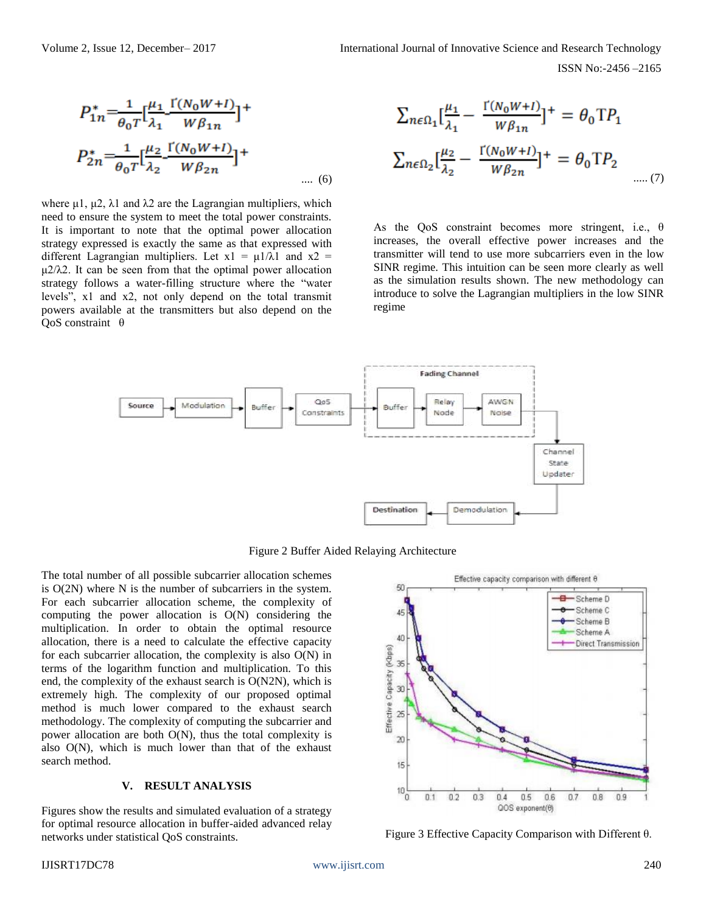$$
P_{1n}^{*} = \frac{1}{\theta_0 T} \left[ \frac{\mu_1}{\lambda_1} \frac{\Gamma(N_0 W + I)}{W \beta_{1n}} \right]^{+}
$$
  

$$
P_{2n}^{*} = \frac{1}{\theta_0 T} \left[ \frac{\mu_2}{\lambda_2} \frac{\Gamma(N_0 W + I)}{W \beta_{2n}} \right]^{+}
$$
  

$$
\dots (6)
$$

where  $\mu$ 1,  $\mu$ 2,  $\lambda$ 1 and  $\lambda$ 2 are the Lagrangian multipliers, which need to ensure the system to meet the total power constraints. It is important to note that the optimal power allocation strategy expressed is exactly the same as that expressed with different Lagrangian multipliers. Let  $x1 = \mu 1/\lambda 1$  and  $x2 =$  $\mu$ 2/ $\lambda$ 2. It can be seen from that the optimal power allocation strategy follows a water-filling structure where the "water levels", x1 and x2, not only depend on the total transmit powers available at the transmitters but also depend on the QoS constraint θ

$$
\sum_{n\in\Omega_1} \left[\frac{\mu_1}{\lambda_1} - \frac{\Gamma(N_0W+I)}{W\beta_{1n}}\right]^+ = \theta_0 \text{ T} P_1
$$

$$
\sum_{n\in\Omega_2} \left[\frac{\mu_2}{\lambda_2} - \frac{\Gamma(N_0W+I)}{W\beta_{2n}}\right]^+ = \theta_0 \text{ T} P_2
$$
.....(7)

As the QoS constraint becomes more stringent, i.e., θ increases, the overall effective power increases and the transmitter will tend to use more subcarriers even in the low SINR regime. This intuition can be seen more clearly as well as the simulation results shown. The new methodology can introduce to solve the Lagrangian multipliers in the low SINR regime



Figure 2 Buffer Aided Relaying Architecture

The total number of all possible subcarrier allocation schemes is O(2N) where N is the number of subcarriers in the system. For each subcarrier allocation scheme, the complexity of computing the power allocation is O(N) considering the multiplication. In order to obtain the optimal resource allocation, there is a need to calculate the effective capacity for each subcarrier allocation, the complexity is also O(N) in terms of the logarithm function and multiplication. To this end, the complexity of the exhaust search is O(N2N), which is extremely high. The complexity of our proposed optimal method is much lower compared to the exhaust search methodology. The complexity of computing the subcarrier and power allocation are both O(N), thus the total complexity is also O(N), which is much lower than that of the exhaust search method.

## **V. RESULT ANALYSIS**

Figures show the results and simulated evaluation of a strategy for optimal resource allocation in buffer-aided advanced relay networks under statistical QoS constraints. Figure 3 Effective Capacity Comparison with Different θ.

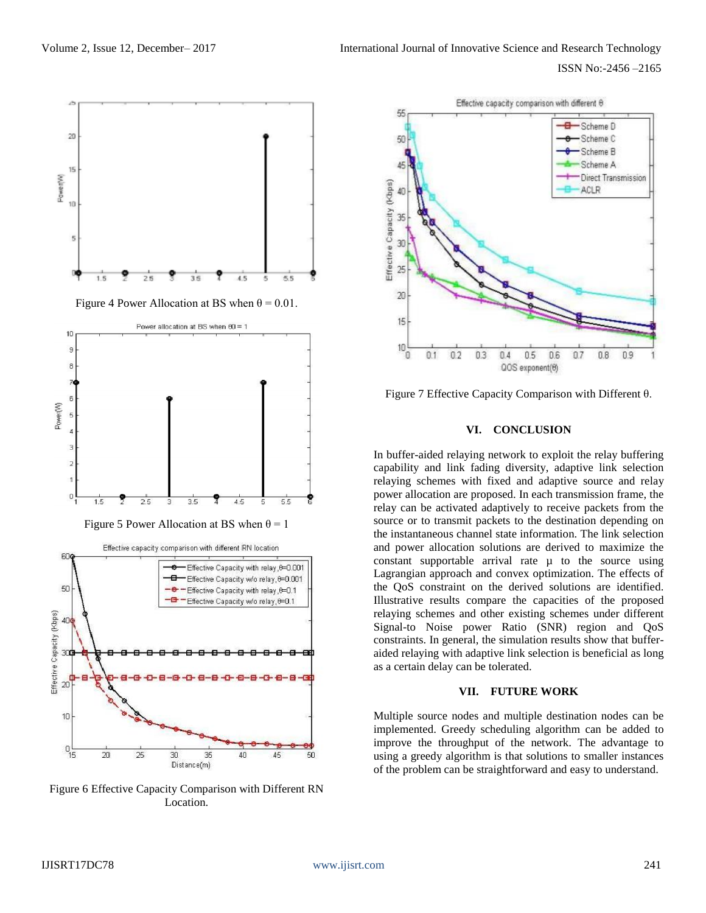

Figure 6 Effective Capacity Comparison with Different RN Location.



Figure 7 Effective Capacity Comparison with Different θ.

## **VI. CONCLUSION**

In buffer-aided relaying network to exploit the relay buffering capability and link fading diversity, adaptive link selection relaying schemes with fixed and adaptive source and relay power allocation are proposed. In each transmission frame, the relay can be activated adaptively to receive packets from the source or to transmit packets to the destination depending on the instantaneous channel state information. The link selection and power allocation solutions are derived to maximize the constant supportable arrival rate  $\mu$  to the source using Lagrangian approach and convex optimization. The effects of the QoS constraint on the derived solutions are identified. Illustrative results compare the capacities of the proposed relaying schemes and other existing schemes under different Signal-to Noise power Ratio (SNR) region and QoS constraints. In general, the simulation results show that bufferaided relaying with adaptive link selection is beneficial as long as a certain delay can be tolerated.

# **VII. FUTURE WORK**

Multiple source nodes and multiple destination nodes can be implemented. Greedy scheduling algorithm can be added to improve the throughput of the network. The advantage to using a greedy algorithm is that solutions to smaller instances of the problem can be straightforward and easy to understand.